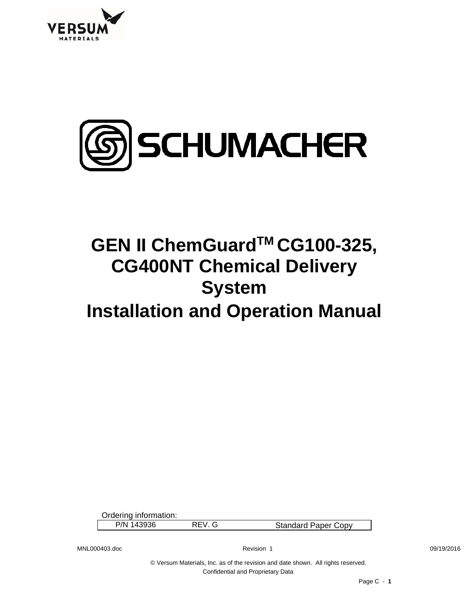



# **GEN II ChemGuardTM CG100-325, CG400NT Chemical Delivery System Installation and Operation Manual**

Ordering information:

P/N 143936 REV. G Standard Paper Copy

MNL000403.doc Revision 1 09/19/2016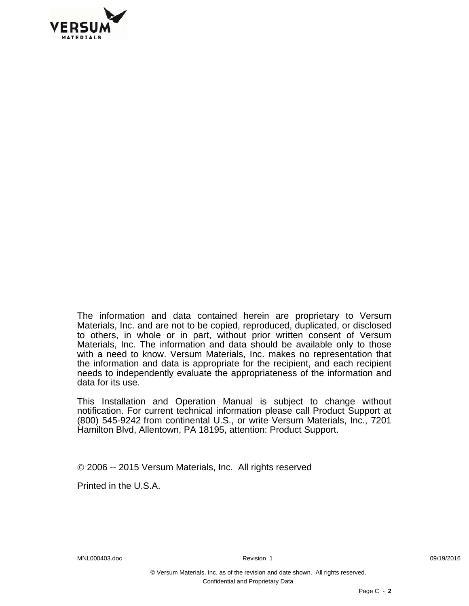

The information and data contained herein are proprietary to Versum Materials, Inc. and are not to be copied, reproduced, duplicated, or disclosed to others, in whole or in part, without prior written consent of Versum Materials, Inc. The information and data should be available only to those with a need to know. Versum Materials, Inc. makes no representation that the information and data is appropriate for the recipient, and each recipient needs to independently evaluate the appropriateness of the information and data for its use.

This Installation and Operation Manual is subject to change without notification. For current technical information please call Product Support at (800) 545-9242 from continental U.S., or write Versum Materials, Inc., 7201 Hamilton Blvd, Allentown, PA 18195, attention: Product Support.

2006 -- 2015 Versum Materials, Inc. All rights reserved

Printed in the U.S.A.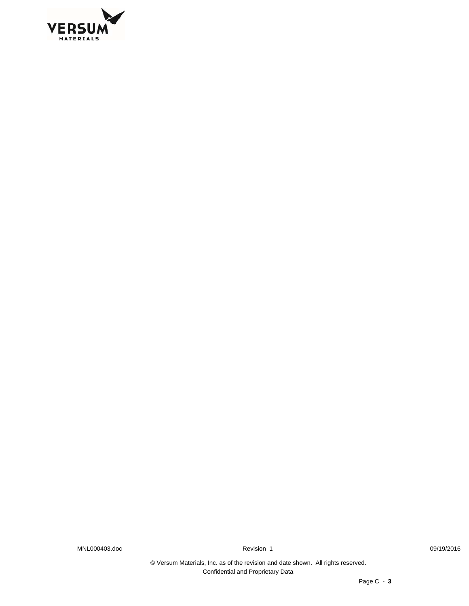

MNL000403.doc Revision 1 09/19/2016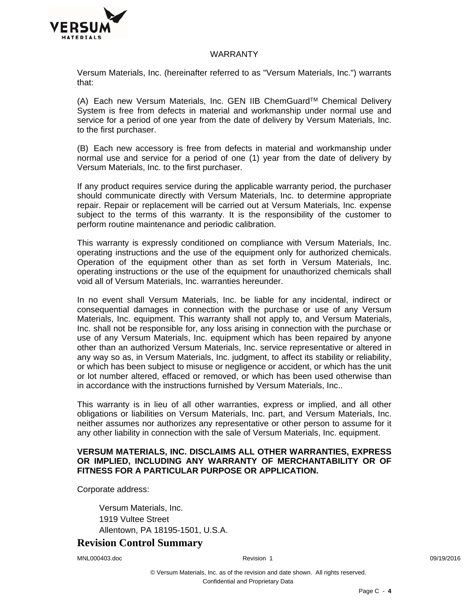

### WARRANTY

Versum Materials, Inc. (hereinafter referred to as "Versum Materials, Inc.") warrants that:

(A) Each new Versum Materials, Inc. GEN IIB ChemGuardTM Chemical Delivery System is free from defects in material and workmanship under normal use and service for a period of one year from the date of delivery by Versum Materials, Inc. to the first purchaser.

(B) Each new accessory is free from defects in material and workmanship under normal use and service for a period of one (1) year from the date of delivery by Versum Materials, Inc. to the first purchaser.

If any product requires service during the applicable warranty period, the purchaser should communicate directly with Versum Materials, Inc. to determine appropriate repair. Repair or replacement will be carried out at Versum Materials, Inc. expense subject to the terms of this warranty. It is the responsibility of the customer to perform routine maintenance and periodic calibration.

This warranty is expressly conditioned on compliance with Versum Materials, Inc. operating instructions and the use of the equipment only for authorized chemicals. Operation of the equipment other than as set forth in Versum Materials, Inc. operating instructions or the use of the equipment for unauthorized chemicals shall void all of Versum Materials, Inc. warranties hereunder.

In no event shall Versum Materials, Inc. be liable for any incidental, indirect or consequential damages in connection with the purchase or use of any Versum Materials, Inc. equipment. This warranty shall not apply to, and Versum Materials, Inc. shall not be responsible for, any loss arising in connection with the purchase or use of any Versum Materials, Inc. equipment which has been repaired by anyone other than an authorized Versum Materials, Inc. service representative or altered in any way so as, in Versum Materials, Inc. judgment, to affect its stability or reliability, or which has been subject to misuse or negligence or accident, or which has the unit or lot number altered, effaced or removed, or which has been used otherwise than in accordance with the instructions furnished by Versum Materials, Inc..

This warranty is in lieu of all other warranties, express or implied, and all other obligations or liabilities on Versum Materials, Inc. part, and Versum Materials, Inc. neither assumes nor authorizes any representative or other person to assume for it any other liability in connection with the sale of Versum Materials, Inc. equipment.

## **VERSUM MATERIALS, INC. DISCLAIMS ALL OTHER WARRANTIES, EXPRESS OR IMPLIED, INCLUDING ANY WARRANTY OF MERCHANTABILITY OR OF FITNESS FOR A PARTICULAR PURPOSE OR APPLICATION.**

Corporate address:

 Versum Materials, Inc. 1919 Vultee Street Allentown, PA 18195-1501, U.S.A.

## **Revision Control Summary**

MNL000403.doc Revision 1 09/19/2016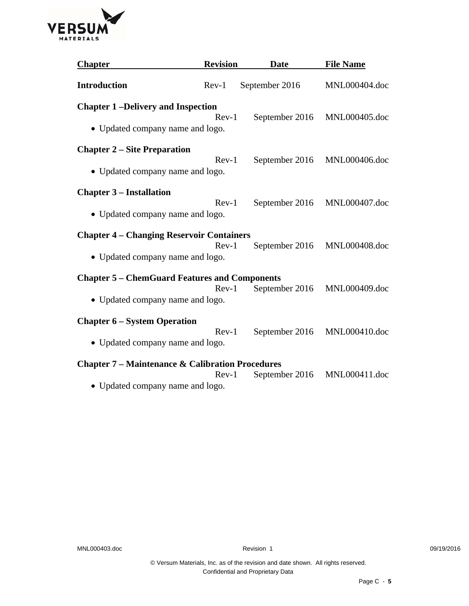

| <b>Chapter</b>                                                                       | <b>Revision</b> | <b>Date</b>    | <b>File Name</b> |
|--------------------------------------------------------------------------------------|-----------------|----------------|------------------|
| <b>Introduction</b>                                                                  | $Rev-1$         | September 2016 | MNL000404.doc    |
| <b>Chapter 1-Delivery and Inspection</b>                                             | $Rev-1$         | September 2016 | MNL000405.doc    |
| • Updated company name and logo.                                                     |                 |                |                  |
| <b>Chapter 2 – Site Preparation</b><br>• Updated company name and logo.              | $Rev-1$         | September 2016 | MNL000406.doc    |
|                                                                                      |                 |                |                  |
| <b>Chapter 3 – Installation</b><br>• Updated company name and logo.                  | $Rev-1$         | September 2016 | MNL000407.doc    |
|                                                                                      |                 |                |                  |
| <b>Chapter 4 – Changing Reservoir Containers</b><br>• Updated company name and logo. | $Rev-1$         | September 2016 | MNL000408.doc    |
| <b>Chapter 5 – ChemGuard Features and Components</b>                                 |                 |                |                  |
| • Updated company name and logo.                                                     | $Rev-1$         | September 2016 | MNL000409.doc    |
| <b>Chapter 6 – System Operation</b>                                                  |                 |                |                  |
| • Updated company name and logo.                                                     | $Rev-1$         | September 2016 | MNL000410.doc    |
| <b>Chapter 7 – Maintenance &amp; Calibration Procedures</b>                          |                 |                |                  |
| • Updated company name and logo.                                                     | $Rev-1$         | September 2016 | MNL000411.doc    |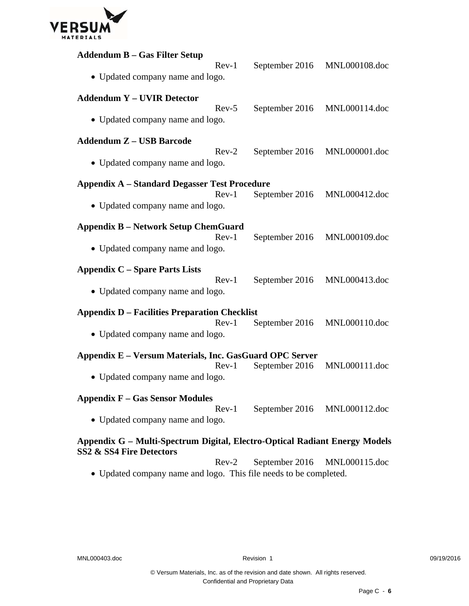

| <b>Addendum B – Gas Filter Setup</b>                                                                  | $Rev-1$ | September 2016 | MNL000108.doc                |  |
|-------------------------------------------------------------------------------------------------------|---------|----------------|------------------------------|--|
| • Updated company name and logo.                                                                      |         |                |                              |  |
| <b>Addendum Y - UVIR Detector</b>                                                                     | $Rev-5$ | September 2016 | MNL000114.doc                |  |
| • Updated company name and logo.                                                                      |         |                |                              |  |
| <b>Addendum Z - USB Barcode</b>                                                                       |         |                |                              |  |
| • Updated company name and logo.                                                                      | $Rev-2$ | September 2016 | MNL000001.doc                |  |
| <b>Appendix A – Standard Degasser Test Procedure</b>                                                  | $Rev-1$ | September 2016 | MNL000412.doc                |  |
| • Updated company name and logo.                                                                      |         |                |                              |  |
| <b>Appendix B – Network Setup ChemGuard</b>                                                           | $Rev-1$ | September 2016 | MNL000109.doc                |  |
| • Updated company name and logo.                                                                      |         |                |                              |  |
| <b>Appendix C – Spare Parts Lists</b>                                                                 | $Rev-1$ | September 2016 | MNL000413.doc                |  |
| • Updated company name and logo.                                                                      |         |                |                              |  |
| <b>Appendix D – Facilities Preparation Checklist</b>                                                  | $Rev-1$ | September 2016 | MNL000110.doc                |  |
| • Updated company name and logo.                                                                      |         |                |                              |  |
| Appendix E – Versum Materials, Inc. GasGuard OPC Server<br>$Rev-1$<br>September 2016<br>MNL000111.doc |         |                |                              |  |
| • Updated company name and logo.                                                                      |         |                |                              |  |
| <b>Appendix F – Gas Sensor Modules</b>                                                                | $Rev-1$ |                | September 2016 MNL000112.doc |  |
| • Updated company name and logo.                                                                      |         |                |                              |  |
| Appendix G - Multi-Spectrum Digital, Electro-Optical Radiant Energy Models                            |         |                |                              |  |
| <b>SS2 &amp; SS4 Fire Detectors</b>                                                                   | $Rev-2$ | September 2016 | MNL000115.doc                |  |

Updated company name and logo. This file needs to be completed.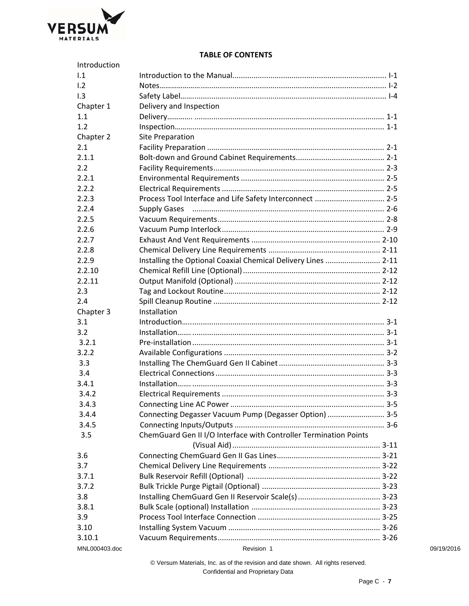

### **TABLE OF CONTENTS**

| Introduction  |                                                                   |            |
|---------------|-------------------------------------------------------------------|------------|
| 1.1           |                                                                   |            |
| 1.2           |                                                                   |            |
| 1.3           |                                                                   |            |
| Chapter 1     | Delivery and Inspection                                           |            |
| 1.1           |                                                                   |            |
| 1.2           |                                                                   |            |
| Chapter 2     | Site Preparation                                                  |            |
| 2.1           |                                                                   |            |
| 2.1.1         |                                                                   |            |
| 2.2           |                                                                   |            |
| 2.2.1         |                                                                   |            |
| 2.2.2         |                                                                   |            |
| 2.2.3         | Process Tool Interface and Life Safety Interconnect  2-5          |            |
| 2.2.4         |                                                                   |            |
| 2.2.5         |                                                                   |            |
| 2.2.6         |                                                                   |            |
| 2.2.7         |                                                                   |            |
| 2.2.8         |                                                                   |            |
| 2.2.9         | Installing the Optional Coaxial Chemical Delivery Lines  2-11     |            |
| 2.2.10        |                                                                   |            |
| 2.2.11        |                                                                   |            |
| 2.3           |                                                                   |            |
| 2.4           |                                                                   |            |
| Chapter 3     | Installation                                                      |            |
| 3.1           |                                                                   |            |
| 3.2           |                                                                   |            |
| 3.2.1         |                                                                   |            |
| 3.2.2         |                                                                   |            |
| 3.3           |                                                                   |            |
| 3.4           |                                                                   |            |
| 3.4.1         |                                                                   |            |
| 3.4.2         |                                                                   |            |
| 3.4.3         |                                                                   |            |
| 3.4.4         | Connecting Degasser Vacuum Pump (Degasser Option)  3-5            |            |
| 3.4.5         |                                                                   |            |
| 3.5           | ChemGuard Gen II I/O Interface with Controller Termination Points |            |
|               |                                                                   |            |
| 3.6           |                                                                   |            |
| 3.7           |                                                                   |            |
| 3.7.1         |                                                                   |            |
| 3.7.2         |                                                                   |            |
| 3.8           |                                                                   |            |
| 3.8.1         |                                                                   |            |
| 3.9           |                                                                   |            |
| 3.10          |                                                                   |            |
| 3.10.1        |                                                                   |            |
| MNL000403.doc | Revision 1                                                        | 09/19/2016 |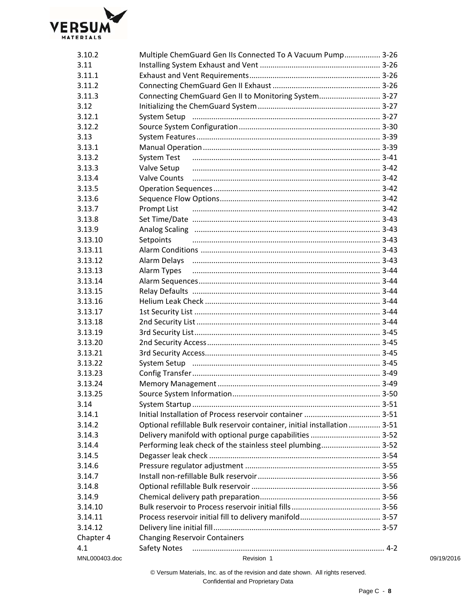

| 3.10.2           | Multiple ChemGuard Gen IIs Connected To A Vacuum Pump 3-26               |      |            |
|------------------|--------------------------------------------------------------------------|------|------------|
| 3.11             |                                                                          |      |            |
| 3.11.1           |                                                                          |      |            |
| 3.11.2           |                                                                          |      |            |
| 3.11.3           | Connecting ChemGuard Gen II to Monitoring System 3-27                    |      |            |
| 3.12             |                                                                          |      |            |
| 3.12.1           |                                                                          |      |            |
| 3.12.2           |                                                                          |      |            |
| 3.13             |                                                                          |      |            |
| 3.13.1           |                                                                          |      |            |
| 3.13.2           | System Test                                                              |      |            |
| 3.13.3           | Valve Setup                                                              |      |            |
| 3.13.4           |                                                                          |      |            |
| 3.13.5           |                                                                          |      |            |
| 3.13.6           |                                                                          |      |            |
| 3.13.7           | Prompt List                                                              |      |            |
| 3.13.8           |                                                                          |      |            |
| 3.13.9           |                                                                          |      |            |
| 3.13.10          | Setpoints                                                                |      |            |
| 3.13.11          |                                                                          |      |            |
| 3.13.12          |                                                                          |      |            |
| 3.13.13          | Alarm Types                                                              |      |            |
| 3.13.14          |                                                                          |      |            |
| 3.13.15          |                                                                          |      |            |
| 3.13.16          |                                                                          |      |            |
| 3.13.17          |                                                                          |      |            |
| 3.13.18          |                                                                          |      |            |
| 3.13.19          |                                                                          |      |            |
| 3.13.20          |                                                                          |      |            |
| 3.13.21          |                                                                          |      |            |
| 3.13.22          |                                                                          |      |            |
| 3.13.23          |                                                                          |      |            |
| 3.13.24          |                                                                          |      |            |
| 3.13.25          |                                                                          | 3-50 |            |
| 3.14             |                                                                          |      |            |
| 3.14.1           |                                                                          |      |            |
| 3.14.2           | Optional refillable Bulk reservoir container, initial installation  3-51 |      |            |
| 3.14.3           | Delivery manifold with optional purge capabilities  3-52                 |      |            |
| 3.14.4           | Performing leak check of the stainless steel plumbing 3-52               |      |            |
| 3.14.5           |                                                                          |      |            |
| 3.14.6           |                                                                          |      |            |
| 3.14.7           |                                                                          |      |            |
| 3.14.8           |                                                                          |      |            |
| 3.14.9           |                                                                          |      |            |
| 3.14.10          |                                                                          |      |            |
| 3.14.11          |                                                                          |      |            |
| 3.14.12          |                                                                          |      |            |
|                  |                                                                          |      |            |
| Chapter 4<br>4.1 | <b>Changing Reservoir Containers</b><br>Safety Notes                     |      |            |
| MNL000403.doc    | Revision 1                                                               |      | 09/19/2016 |
|                  |                                                                          |      |            |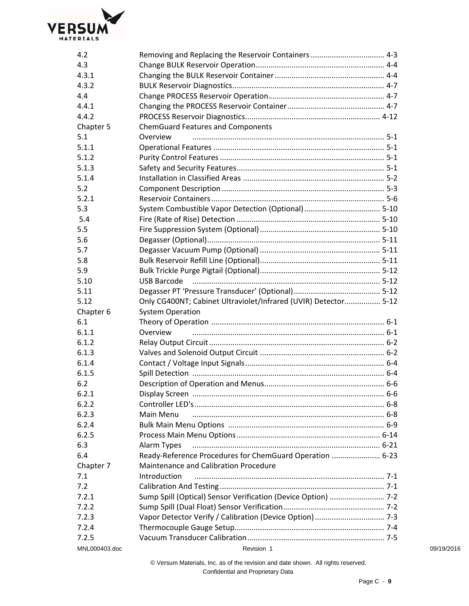

| 4.2           |                                                                 |            |
|---------------|-----------------------------------------------------------------|------------|
| 4.3           |                                                                 |            |
| 4.3.1         |                                                                 |            |
| 4.3.2         |                                                                 |            |
| 4.4           |                                                                 |            |
| 4.4.1         |                                                                 |            |
| 4.4.2         |                                                                 |            |
| Chapter 5     | <b>ChemGuard Features and Components</b>                        |            |
| 5.1           | Overview                                                        |            |
| 5.1.1         |                                                                 |            |
| 5.1.2         |                                                                 |            |
| 5.1.3         |                                                                 |            |
| 5.1.4         |                                                                 |            |
| 5.2           |                                                                 |            |
| 5.2.1         |                                                                 |            |
| 5.3           |                                                                 |            |
| 5.4           |                                                                 |            |
| 5.5           |                                                                 |            |
| 5.6           |                                                                 |            |
| 5.7           |                                                                 |            |
| 5.8           |                                                                 |            |
| 5.9           |                                                                 |            |
| 5.10          | USB Barcode                                                     |            |
| 5.11          |                                                                 |            |
| 5.12          | Only CG400NT; Cabinet Ultraviolet/Infrared (UVIR) Detector 5-12 |            |
| Chapter 6     | <b>System Operation</b>                                         |            |
| 6.1           |                                                                 |            |
| 6.1.1         | Overview                                                        |            |
| 6.1.2         |                                                                 |            |
| 6.1.3         |                                                                 |            |
| 6.1.4         |                                                                 |            |
| 6.1.5         |                                                                 |            |
| 6.2           |                                                                 |            |
| 6.2.1         |                                                                 |            |
| 6.2.2         |                                                                 |            |
| 6.2.3         | Main Menu                                                       |            |
| 6.2.4         |                                                                 |            |
| 6.2.5         |                                                                 |            |
| 6.3           | Alarm Types                                                     |            |
| 6.4           | Ready-Reference Procedures for ChemGuard Operation  6-23        |            |
| Chapter 7     | Maintenance and Calibration Procedure                           |            |
| 7.1           | Introduction                                                    |            |
| 7.2           |                                                                 |            |
| 7.2.1         | Sump Spill (Optical) Sensor Verification (Device Option)  7-2   |            |
| 7.2.2         |                                                                 |            |
| 7.2.3         |                                                                 |            |
| 7.2.4         |                                                                 |            |
| 7.2.5         |                                                                 |            |
| MNL000403.doc | Revision 1                                                      | 09/19/2016 |
|               |                                                                 |            |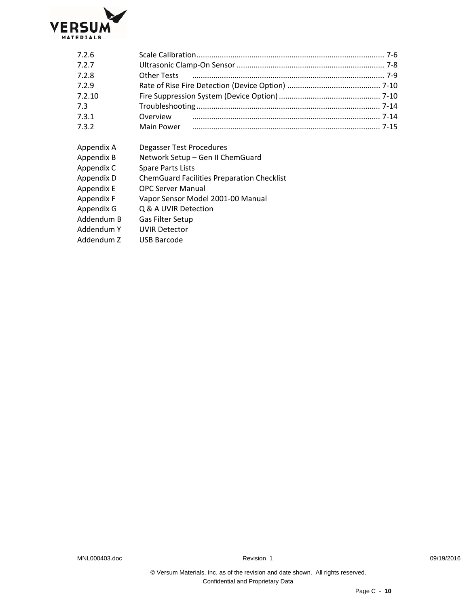

| 7.2.6      |                                                   |  |
|------------|---------------------------------------------------|--|
| 7.2.7      |                                                   |  |
| 7.2.8      | Other Tests                                       |  |
| 7.2.9      |                                                   |  |
| 7.2.10     |                                                   |  |
| 7.3        |                                                   |  |
| 7.3.1      | Overview                                          |  |
| 7.3.2      | Main Power                                        |  |
| Appendix A | Degasser Test Procedures                          |  |
| Appendix B | Network Setup - Gen II ChemGuard                  |  |
| Appendix C | <b>Spare Parts Lists</b>                          |  |
| Appendix D | <b>ChemGuard Facilities Preparation Checklist</b> |  |
| Appendix E | <b>OPC Server Manual</b>                          |  |
| Appendix F | Vapor Sensor Model 2001-00 Manual                 |  |
| Appendix G | Q & A UVIR Detection                              |  |
| Addendum B | Gas Filter Setup                                  |  |
| Addendum Y | <b>UVIR Detector</b>                              |  |

Addendum Z USB Barcode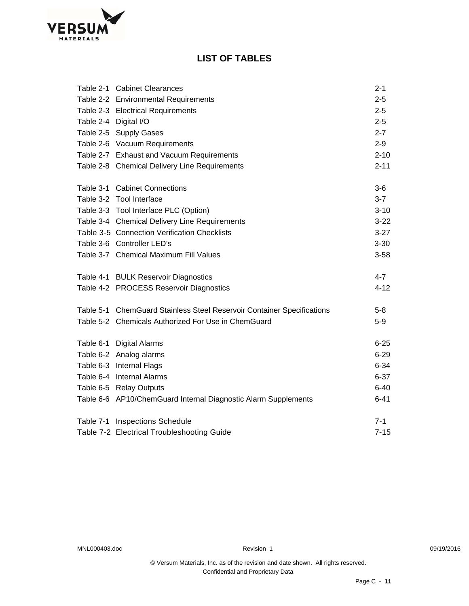

# **LIST OF TABLES**

| Table 2-1 Cabinet Clearances                                           | $2 - 1$  |
|------------------------------------------------------------------------|----------|
| Table 2-2 Environmental Requirements                                   | $2 - 5$  |
| Table 2-3 Electrical Requirements                                      | $2 - 5$  |
| Table 2-4 Digital I/O                                                  | $2 - 5$  |
| Table 2-5 Supply Gases                                                 | $2 - 7$  |
| Table 2-6 Vacuum Requirements                                          | $2 - 9$  |
| Table 2-7 Exhaust and Vacuum Requirements                              | $2 - 10$ |
| Table 2-8 Chemical Delivery Line Requirements                          | $2 - 11$ |
| Table 3-1 Cabinet Connections                                          | $3-6$    |
| Table 3-2 Tool Interface                                               | $3 - 7$  |
| Table 3-3 Tool Interface PLC (Option)                                  | $3 - 10$ |
| Table 3-4 Chemical Delivery Line Requirements                          | $3 - 22$ |
| Table 3-5 Connection Verification Checklists                           | $3-27$   |
| Table 3-6 Controller LED's                                             | $3 - 30$ |
| Table 3-7 Chemical Maximum Fill Values                                 | $3 - 58$ |
| Table 4-1 BULK Reservoir Diagnostics                                   | $4 - 7$  |
| Table 4-2 PROCESS Reservoir Diagnostics                                | $4 - 12$ |
| Table 5-1 ChemGuard Stainless Steel Reservoir Container Specifications | $5 - 8$  |
| Table 5-2 Chemicals Authorized For Use in ChemGuard                    | $5-9$    |
| Table 6-1 Digital Alarms                                               | $6 - 25$ |
| Table 6-2 Analog alarms                                                | $6 - 29$ |
| Table 6-3 Internal Flags                                               | $6 - 34$ |
| Table 6-4 Internal Alarms                                              | $6 - 37$ |
| Table 6-5 Relay Outputs                                                | $6 - 40$ |
| Table 6-6 AP10/ChemGuard Internal Diagnostic Alarm Supplements         | $6 - 41$ |
| Table 7-1 Inspections Schedule                                         | $7 - 1$  |
| Table 7-2 Electrical Troubleshooting Guide                             | $7 - 15$ |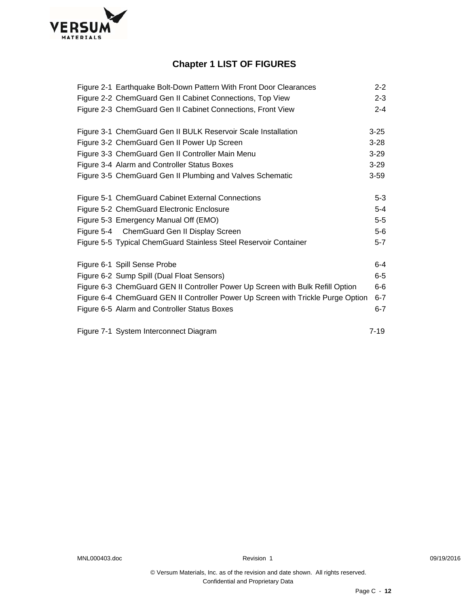

## **Chapter 1 LIST OF FIGURES**

| Figure 2-1 Earthquake Bolt-Down Pattern With Front Door Clearances               | $2 - 2$  |
|----------------------------------------------------------------------------------|----------|
| Figure 2-2 ChemGuard Gen II Cabinet Connections, Top View                        | $2 - 3$  |
| Figure 2-3 ChemGuard Gen II Cabinet Connections, Front View                      | $2 - 4$  |
| Figure 3-1 ChemGuard Gen II BULK Reservoir Scale Installation                    | $3 - 25$ |
| Figure 3-2 ChemGuard Gen II Power Up Screen                                      | $3 - 28$ |
| Figure 3-3 ChemGuard Gen II Controller Main Menu                                 | $3 - 29$ |
| Figure 3-4 Alarm and Controller Status Boxes                                     | $3 - 29$ |
| Figure 3-5 ChemGuard Gen II Plumbing and Valves Schematic                        | $3 - 59$ |
| Figure 5-1 ChemGuard Cabinet External Connections                                | $5-3$    |
| Figure 5-2 ChemGuard Electronic Enclosure                                        | $5-4$    |
| Figure 5-3 Emergency Manual Off (EMO)                                            | $5-5$    |
| Figure 5-4 ChemGuard Gen II Display Screen                                       | $5-6$    |
| Figure 5-5 Typical ChemGuard Stainless Steel Reservoir Container                 | $5-7$    |
| Figure 6-1 Spill Sense Probe                                                     | $6-4$    |
| Figure 6-2 Sump Spill (Dual Float Sensors)                                       | $6-5$    |
| Figure 6-3 ChemGuard GEN II Controller Power Up Screen with Bulk Refill Option   | $6-6$    |
| Figure 6-4 ChemGuard GEN II Controller Power Up Screen with Trickle Purge Option | $6 - 7$  |
| Figure 6-5 Alarm and Controller Status Boxes                                     | $6 - 7$  |
| Figure 7-1 System Interconnect Diagram                                           | $7 - 19$ |